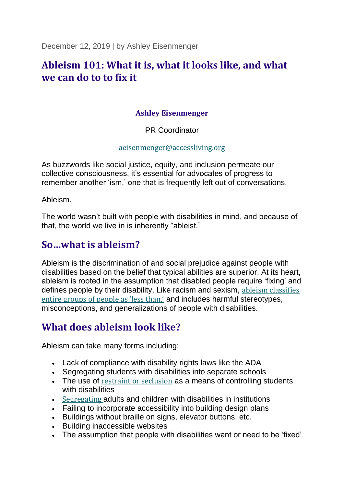December 12, 2019 | by Ashley Eisenmenger

## **Ableism 101: What it is, what it looks like, and what we can do to to fix it**

#### **Ashley Eisenmenger**

PR Coordinator

[aeisenmenger@accessliving.org](mailto:aeisenmenger@accessliving.org)

As buzzwords like social justice, equity, and inclusion permeate our collective consciousness, it's essential for advocates of progress to remember another 'ism,' one that is frequently left out of conversations.

Ableism.

The world wasn't built with people with disabilities in mind, and because of that, the world we live in is inherently "ableist."

## **So…what is ableism?**

Ableism is the discrimination of and social prejudice against people with disabilities based on the belief that typical abilities are superior. At its heart, ableism is rooted in the assumption that disabled people require 'fixing' and defines people by their disability. Like racism and sexism, [ableism classifies](https://www.youtube.com/watch?v=_b7k6pEnyQ4)  [entire groups of people as 'less than,'](https://www.youtube.com/watch?v=_b7k6pEnyQ4) and includes harmful stereotypes, misconceptions, and generalizations of people with disabilities.

# **What does ableism look like?**

Ableism can take many forms including:

- Lack of compliance with disability rights laws like the ADA
- Segregating students with disabilities into separate schools
- The use of [restraint or seclusion](https://www.accessliving.org/newsroom/press-releases-and-statements/isolation-is-not-education/) as a means of controlling students with disabilities
- [Segregating](https://www.accessliving.org/newsroom/blog/celebrating-20-years-of-the-olmstead-decision/) adults and children with disabilities in institutions
- Failing to incorporate accessibility into building design plans
- Buildings without braille on signs, elevator buttons, etc.
- Building inaccessible websites
- The assumption that people with disabilities want or need to be 'fixed'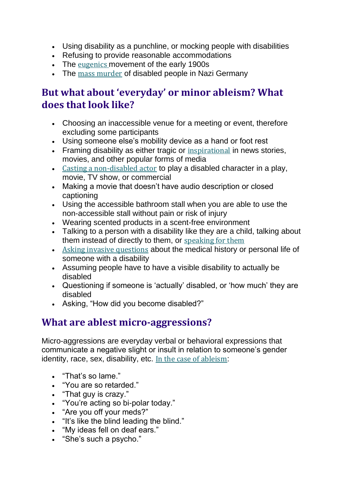- Using disability as a punchline, or mocking people with disabilities
- Refusing to provide reasonable accommodations
- The [eugenics](https://everybody.si.edu/citizens/eugenics) movement of the early 1900s
- The [mass murder](https://encyclopedia.ushmm.org/content/en/article/euthanasia-program) of disabled people in Nazi Germany

## **But what about 'everyday' or minor ableism? What does that look like?**

- Choosing an inaccessible venue for a meeting or event, therefore excluding some participants
- Using someone else's mobility device as a hand or foot rest
- Framing disability as either tragic or [inspirational](https://www.youtube.com/watch?v=8K9Gg164Bsw) in news stories, movies, and other popular forms of media
- [Casting a non-disabled actor](https://www.cnn.com/2018/03/01/opinions/hollywood-disability-new-normal-opinion-novic/index.html) to play a disabled character in a play, movie, TV show, or commercial
- Making a movie that doesn't have audio description or closed captioning
- Using the accessible bathroom stall when you are able to use the non-accessible stall without pain or risk of injury
- Wearing scented products in a scent-free environment
- Talking to a person with a disability like they are a child, talking about them instead of directly to them, or [speaking for them](https://crutchesandspice.com/2018/05/15/disabled-people-have-an-ally-problem-they-need-to-stop-talking-for-us/)
- [Asking invasive questions](https://www.teenvogue.com/story/im-answering-some-of-the-most-common-and-invasive-questions-asked-of-disabled-people) about the medical history or personal life of someone with a disability
- Assuming people have to have a visible disability to actually be disabled
- Questioning if someone is 'actually' disabled, or 'how much' they are disabled
- Asking, "How did you become disabled?"

# **What are ablest micro-aggressions?**

Micro-aggressions are everyday verbal or behavioral expressions that communicate a negative slight or insult in relation to someone's gender identity, race, sex, disability, etc. [In the case of ableism](https://www.youtube.com/watch?v=a1rrSXkFqGE&feature=youtu.be):

- "That's so lame."
- "You are so retarded."
- "That guy is crazy."
- "You're acting so bi-polar today."
- "Are you off your meds?"
- "It's like the blind leading the blind."
- "My ideas fell on deaf ears."
- "She's such a psycho."